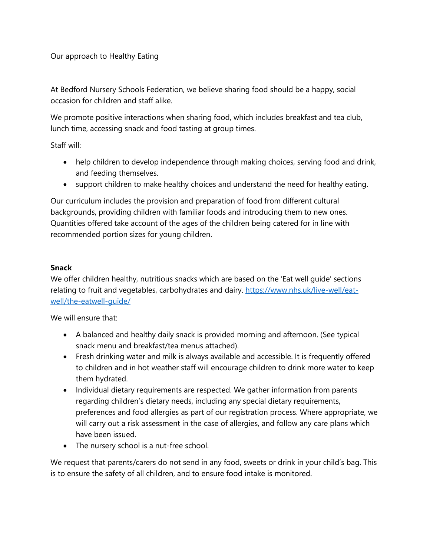Our approach to Healthy Eating

At Bedford Nursery Schools Federation, we believe sharing food should be a happy, social occasion for children and staff alike.

We promote positive interactions when sharing food, which includes breakfast and tea club, lunch time, accessing snack and food tasting at group times.

Staff will:

- help children to develop independence through making choices, serving food and drink, and feeding themselves.
- support children to make healthy choices and understand the need for healthy eating.

Our curriculum includes the provision and preparation of food from different cultural backgrounds, providing children with familiar foods and introducing them to new ones. Quantities offered take account of the ages of the children being catered for in line with recommended portion sizes for young children.

## **Snack**

We offer children healthy, nutritious snacks which are based on the 'Eat well guide' sections relating to fruit and vegetables, carbohydrates and dairy. [https://www.nhs.uk/live-well/eat](https://www.nhs.uk/live-well/eat-well/the-eatwell-guide/)[well/the-eatwell-guide/](https://www.nhs.uk/live-well/eat-well/the-eatwell-guide/)

We will ensure that:

- A balanced and healthy daily snack is provided morning and afternoon. (See typical snack menu and breakfast/tea menus attached).
- Fresh drinking water and milk is always available and accessible. It is frequently offered to children and in hot weather staff will encourage children to drink more water to keep them hydrated.
- Individual dietary requirements are respected. We gather information from parents regarding children's dietary needs, including any special dietary requirements, preferences and food allergies as part of our registration process. Where appropriate, we will carry out a risk assessment in the case of allergies, and follow any care plans which have been issued.
- The nursery school is a nut-free school.

We request that parents/carers do not send in any food, sweets or drink in your child's bag. This is to ensure the safety of all children, and to ensure food intake is monitored.